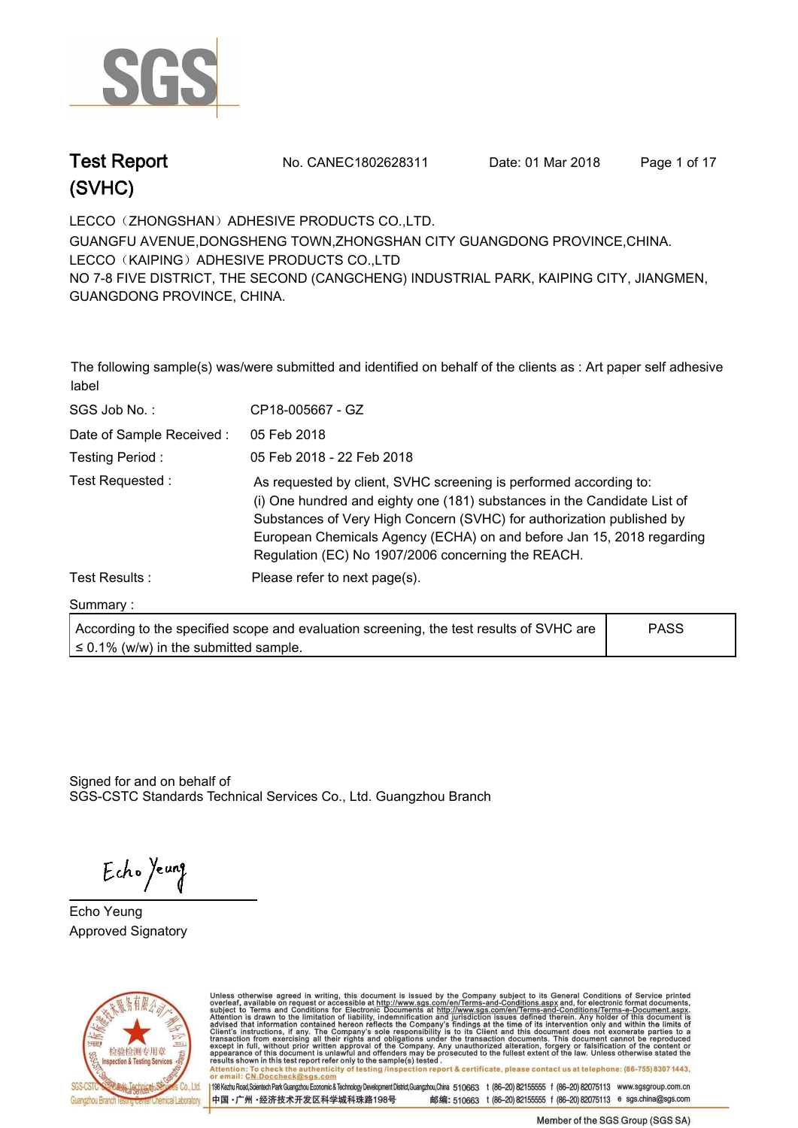

**Test Report. No. CANEC1802628311 Date: 01 Mar 2018. Page 1 of 17.**

**LECCO**(**ZHONGSHAN**)**ADHESIVE PRODUCTS CO.,LTD.. GUANGFU AVENUE,DONGSHENG TOWN,ZHONGSHAN CITY GUANGDONG PROVINCE,CHINA. LECCO**(**KAIPING**)**ADHESIVE PRODUCTS CO.,LTD NO 7-8 FIVE DISTRICT, THE SECOND (CANGCHENG) INDUSTRIAL PARK, KAIPING CITY, JIANGMEN, GUANGDONG PROVINCE, CHINA.**

**The following sample(s) was/were submitted and identified on behalf of the clients as : Art paper self adhesive label.**

| SGS Job No.:             | CP18-005667 - GZ                                                                                                                                                                                                                                                                                                                                      |
|--------------------------|-------------------------------------------------------------------------------------------------------------------------------------------------------------------------------------------------------------------------------------------------------------------------------------------------------------------------------------------------------|
| Date of Sample Received: | 05 Feb 2018                                                                                                                                                                                                                                                                                                                                           |
| Testing Period:          | 05 Feb 2018 - 22 Feb 2018                                                                                                                                                                                                                                                                                                                             |
| Test Requested :         | As requested by client, SVHC screening is performed according to:<br>(i) One hundred and eighty one (181) substances in the Candidate List of<br>Substances of Very High Concern (SVHC) for authorization published by<br>European Chemicals Agency (ECHA) on and before Jan 15, 2018 regarding<br>Regulation (EC) No 1907/2006 concerning the REACH. |
| Test Results :           | Please refer to next page(s).                                                                                                                                                                                                                                                                                                                         |
| Summary:                 |                                                                                                                                                                                                                                                                                                                                                       |
|                          | <b>DACC</b><br>A consultant to the consultant accepted and contration concentral the text secultant OVILIO can                                                                                                                                                                                                                                        |

| $\leq$ 0.1% (w/w) in the submitted sample. | According to the specified scope and evaluation screening, the test results of SVHC are | <b>PASS</b> |  |
|--------------------------------------------|-----------------------------------------------------------------------------------------|-------------|--|
|                                            |                                                                                         |             |  |

Signed for and on behalf of SGS-CSTC Standards Technical Services Co., Ltd. Guangzhou Branch.

Echo Yeung

**Echo Yeung. Approved Signatory. . .**



Unless otherwise agreed in writing, this document is issued by the Company subject to its General Conditions of Service printed overleaf, available on request or accessible at http://www.sgs.com/en/Terms-and-Conditions.asp results shown in this test report ferer only to the sample(s) tested .<br>Attention: To check the authenticity of testing /inspection report & certificate, please contact us at telephone: (86-755) 8307 1443,<br>or email: <u>CN.Doc</u>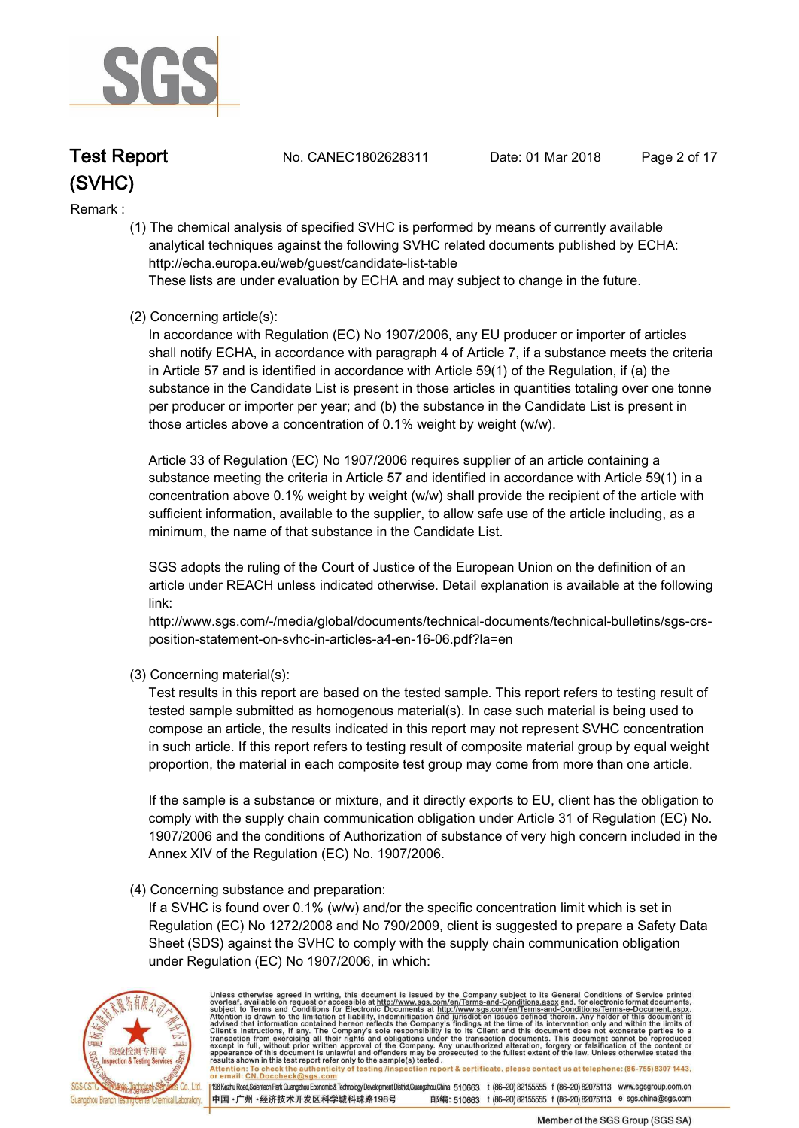

**Test Report. No. CANEC1802628311 Date: 01 Mar 2018. Page 2 of 17.**

#### **Remark :.**

 **(1) The chemical analysis of specified SVHC is performed by means of currently available analytical techniques against the following SVHC related documents published by ECHA: http://echa.europa.eu/web/guest/candidate-list-table** 

 **These lists are under evaluation by ECHA and may subject to change in the future.** 

#### **(2) Concerning article(s):**

 **In accordance with Regulation (EC) No 1907/2006, any EU producer or importer of articles shall notify ECHA, in accordance with paragraph 4 of Article 7, if a substance meets the criteria in Article 57 and is identified in accordance with Article 59(1) of the Regulation, if (a) the substance in the Candidate List is present in those articles in quantities totaling over one tonne per producer or importer per year; and (b) the substance in the Candidate List is present in those articles above a concentration of 0.1% weight by weight (w/w).** 

 **Article 33 of Regulation (EC) No 1907/2006 requires supplier of an article containing a substance meeting the criteria in Article 57 and identified in accordance with Article 59(1) in a concentration above 0.1% weight by weight (w/w) shall provide the recipient of the article with sufficient information, available to the supplier, to allow safe use of the article including, as a minimum, the name of that substance in the Candidate List.** 

 **SGS adopts the ruling of the Court of Justice of the European Union on the definition of an article under REACH unless indicated otherwise. Detail explanation is available at the following link:** 

 **http://www.sgs.com/-/media/global/documents/technical-documents/technical-bulletins/sgs-crs position-statement-on-svhc-in-articles-a4-en-16-06.pdf?la=en** 

 **(3) Concerning material(s):** 

 **Test results in this report are based on the tested sample. This report refers to testing result of tested sample submitted as homogenous material(s). In case such material is being used to compose an article, the results indicated in this report may not represent SVHC concentration in such article. If this report refers to testing result of composite material group by equal weight proportion, the material in each composite test group may come from more than one article.** 

 **If the sample is a substance or mixture, and it directly exports to EU, client has the obligation to comply with the supply chain communication obligation under Article 31 of Regulation (EC) No. 1907/2006 and the conditions of Authorization of substance of very high concern included in the Annex XIV of the Regulation (EC) No. 1907/2006.** 

#### **(4) Concerning substance and preparation:**

 **If a SVHC is found over 0.1% (w/w) and/or the specific concentration limit which is set in Regulation (EC) No 1272/2008 and No 790/2009, client is suggested to prepare a Safety Data Sheet (SDS) against the SVHC to comply with the supply chain communication obligation under Regulation (EC) No 1907/2006, in which:** 



Unless otherwise agreed in writing, this document is issued by the Company subject to its General Conditions of Service printed overleaf, available on request or accessible at http://www.sgs.com/en/Terms-and-Conditions.asp Attention: To check the authenticity of testing /inspection report & certificate, please contact us at telephone: (86-755) 8307 1443,<br>or email: CN.Doccheck@sgs.com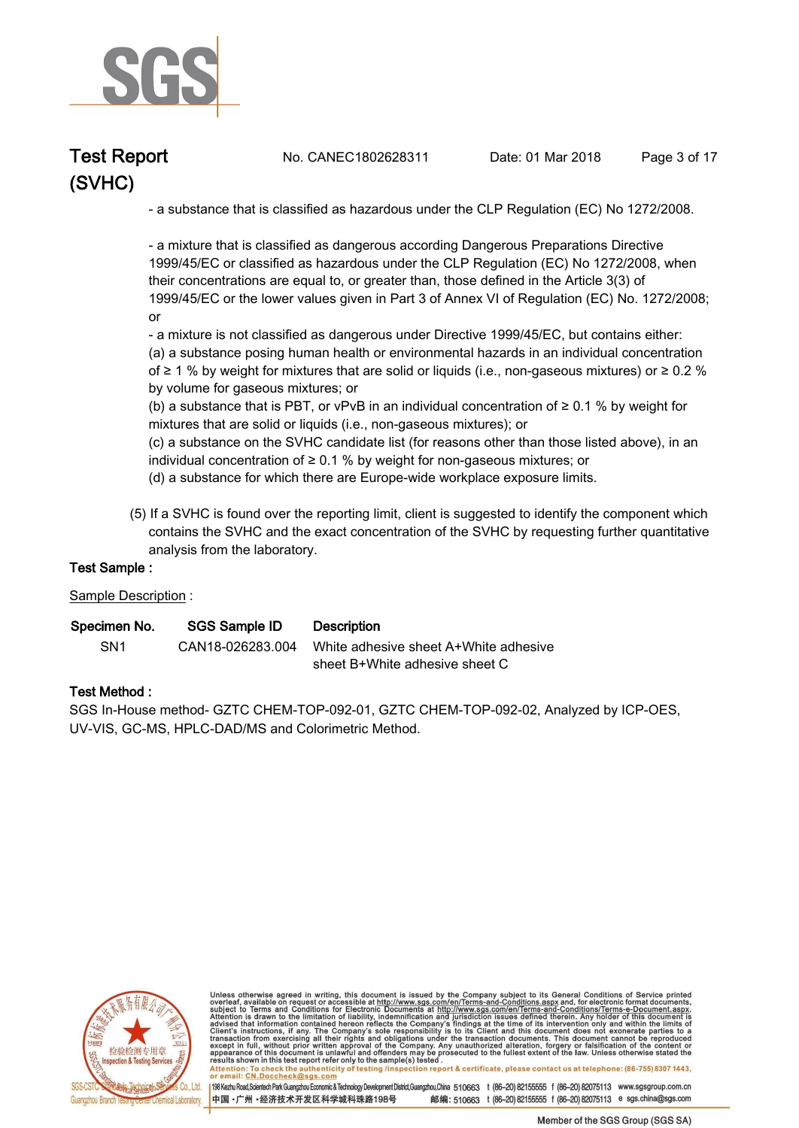

**Test Report. No. CANEC1802628311 Date: 01 Mar 2018. Page 3 of 17.**

 **- a substance that is classified as hazardous under the CLP Regulation (EC) No 1272/2008.** 

 **- a mixture that is classified as dangerous according Dangerous Preparations Directive 1999/45/EC or classified as hazardous under the CLP Regulation (EC) No 1272/2008, when their concentrations are equal to, or greater than, those defined in the Article 3(3) of 1999/45/EC or the lower values given in Part 3 of Annex VI of Regulation (EC) No. 1272/2008; or** 

 **- a mixture is not classified as dangerous under Directive 1999/45/EC, but contains either: (a) a substance posing human health or environmental hazards in an individual concentration of ≥ 1 % by weight for mixtures that are solid or liquids (i.e., non-gaseous mixtures) or ≥ 0.2 % by volume for gaseous mixtures; or** 

 **(b) a substance that is PBT, or vPvB in an individual concentration of ≥ 0.1 % by weight for mixtures that are solid or liquids (i.e., non-gaseous mixtures); or** 

 **(c) a substance on the SVHC candidate list (for reasons other than those listed above), in an individual concentration of ≥ 0.1 % by weight for non-gaseous mixtures; or** 

- **(d) a substance for which there are Europe-wide workplace exposure limits.**
- **(5) If a SVHC is found over the reporting limit, client is suggested to identify the component which contains the SVHC and the exact concentration of the SVHC by requesting further quantitative analysis from the laboratory.**

#### **Test Sample :.**

**Sample Description :.**

| Specimen No.    | SGS Sample ID    | <b>Description</b>                    |
|-----------------|------------------|---------------------------------------|
| SN <sub>1</sub> | CAN18-026283.004 | White adhesive sheet A+White adhesive |
|                 |                  | sheet B+White adhesive sheet C        |

#### **Test Method :.**

**SGS In-House method- GZTC CHEM-TOP-092-01, GZTC CHEM-TOP-092-02, Analyzed by ICP-OES, UV-VIS, GC-MS, HPLC-DAD/MS and Colorimetric Method..**



Unless otherwise agreed in writing, this document is issued by the Company subject to its General Conditions of Service printed overleaf, available on request or accessible at http://www.sgs.com/en/Terms-and-Conditions.asp resums shown in mas lost report their unit to the sample(s) lesied .<br>Attention: To check the authenticity of testing /inspection report & certificate, please contact us at telephone: (86-755) 8307 1443,<br>or email: <u>CN.Docch</u>

198 Kezhu Road,Scientech Park Guangzhou Economic & Technology Development District,Guangzhou,China 510663 t (86-20) 82155555 f (86-20) 82075113 www.sgsgroup.com.cn

邮编: 510663 t (86-20) 82155555 f (86-20) 82075113 e sgs.china@sgs.com 中国·广州·经济技术开发区科学城科珠路198号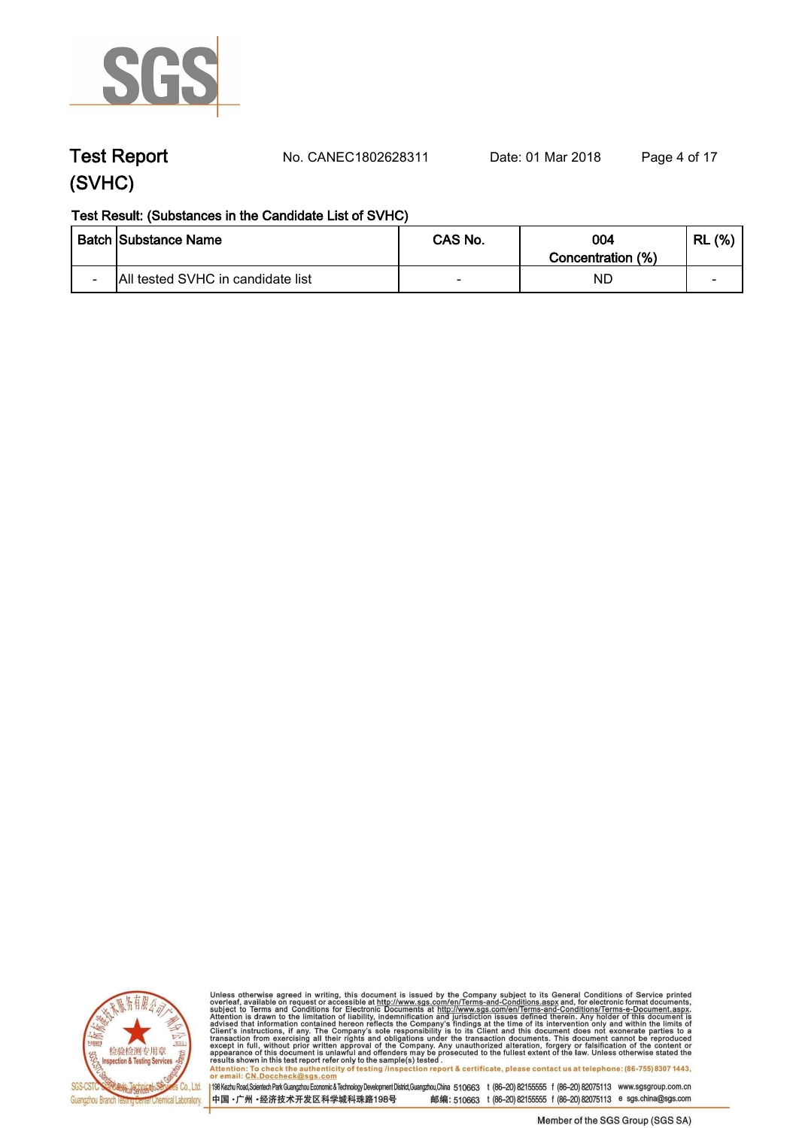

**Test Report. No. CANEC1802628311 Date: 01 Mar 2018. Page 4 of 17.**

#### **Test Result: (Substances in the Candidate List of SVHC)**

|                          | <b>Batch Substance Name</b>       | CAS No.                  | 004<br>Concentration (%) | (% )<br><b>RL</b> |
|--------------------------|-----------------------------------|--------------------------|--------------------------|-------------------|
| $\overline{\phantom{0}}$ | All tested SVHC in candidate list | $\overline{\phantom{a}}$ | ΝD                       | -                 |



Unless otherwise agreed in writing, this document is issued by the Company subject to its General Conditions of Service printed<br>overleaf, available on request or accessible at http://www.sgs.com/en/Terms-and-Conditions.asp results shown in this test report refer only to the sample(s) tested .<br>Attention: To check the authenticity of testing /inspection report & certificate, please contact us at telephone: (86-755) 8307 1443,<br>or email: <u>CN.Doc</u>

198 Kezhu Road,Scientech Park Guangzhou Economic & Technology Development District,Guangzhou,China 510663 t (86-20) 82155555 f (86-20) 82075113 www.sgsgroup.com.cn

中国·广州·经济技术开发区科学城科珠路198号 邮编: 510663 t (86-20) 82155555 f (86-20) 82075113 e sgs.china@sgs.com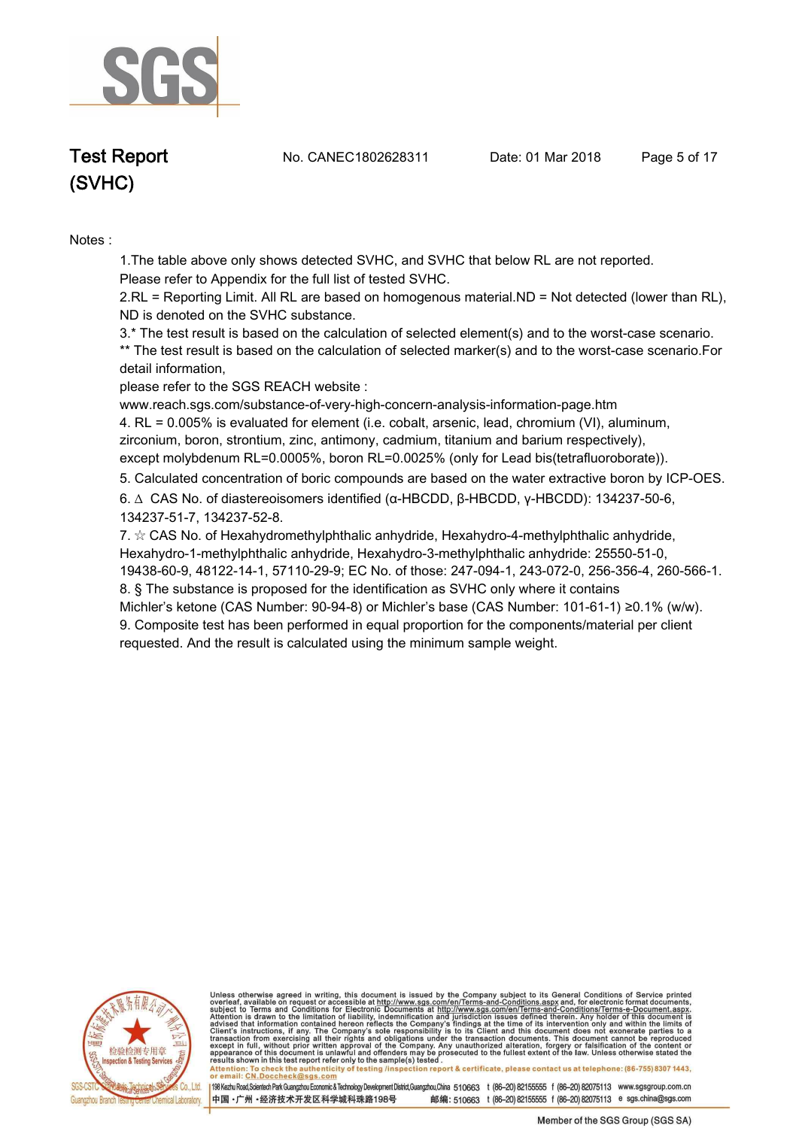

**Test Report. No. CANEC1802628311 Date: 01 Mar 2018. Page 5 of 17.**

# **(SVHC)**

#### **Notes :.**

**1.The table above only shows detected SVHC, and SVHC that below RL are not reported.** 

**Please refer to Appendix for the full list of tested SVHC.**

**2.RL = Reporting Limit. All RL are based on homogenous material.ND = Not detected (lower than RL), ND is denoted on the SVHC substance.**

**3.\* The test result is based on the calculation of selected element(s) and to the worst-case scenario. \*\* The test result is based on the calculation of selected marker(s) and to the worst-case scenario.For detail information,** 

**please refer to the SGS REACH website :** 

**www.reach.sgs.com/substance-of-very-high-concern-analysis-information-page.htm 4. RL = 0.005% is evaluated for element (i.e. cobalt, arsenic, lead, chromium (VI), aluminum, zirconium, boron, strontium, zinc, antimony, cadmium, titanium and barium respectively), except molybdenum RL=0.0005%, boron RL=0.0025% (only for Lead bis(tetrafluoroborate))..**

**5. Calculated concentration of boric compounds are based on the water extractive boron by ICP-OES..**

**6. ∆ CAS No. of diastereoisomers identified (α-HBCDD, β-HBCDD, γ-HBCDD): 134237-50-6, 134237-51-7, 134237-52-8.** 

**7. ☆ CAS No. of Hexahydromethylphthalic anhydride, Hexahydro-4-methylphthalic anhydride, Hexahydro-1-methylphthalic anhydride, Hexahydro-3-methylphthalic anhydride: 25550-51-0, 19438-60-9, 48122-14-1, 57110-29-9; EC No. of those: 247-094-1, 243-072-0, 256-356-4, 260-566-1. 8. § The substance is proposed for the identification as SVHC only where it contains** 

**Michler's ketone (CAS Number: 90-94-8) or Michler's base (CAS Number: 101-61-1) ≥0.1% (w/w). 9. Composite test has been performed in equal proportion for the components/material per client requested. And the result is calculated using the minimum sample weight..**



Unless otherwise agreed in writing, this document is issued by the Company subject to its General Conditions of Service printed overleaf, available on request or accessible at http://www.sgs.com/en/Terms-and-Conditions.asp resums shown in mas lost report their unit to the sample(s) lesied .<br>Attention: To check the authenticity of testing /inspection report & certificate, please contact us at telephone: (86-755) 8307 1443,<br>or email: <u>CN.Docch</u>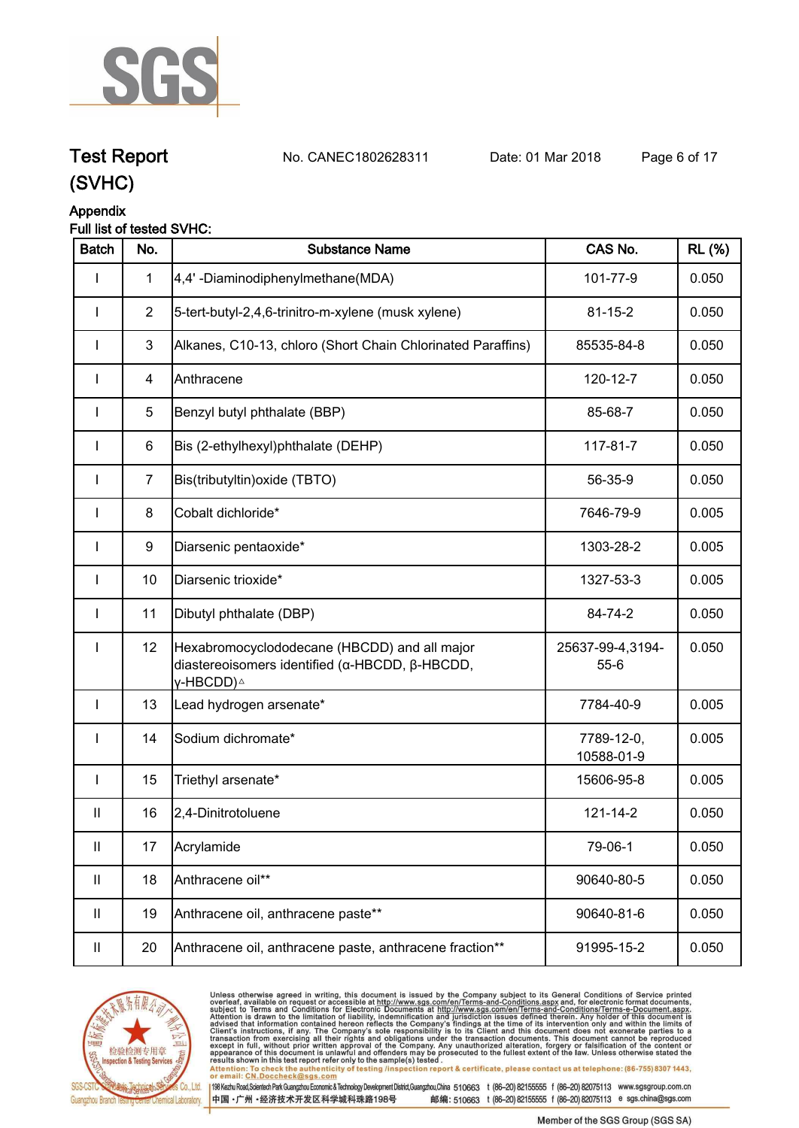

**Test Report. No. CANEC1802628311 Date: 01 Mar 2018. Page 6 of 17.**

## **(SVHC)**

### **Appendix**

#### **Full list of tested SVHC:**

| <b>Batch</b>               | No.            | <b>Substance Name</b>                                                                                                   | CAS No.                      | <b>RL</b> (%) |
|----------------------------|----------------|-------------------------------------------------------------------------------------------------------------------------|------------------------------|---------------|
| I                          | $\mathbf{1}$   | 4,4'-Diaminodiphenylmethane(MDA)                                                                                        | 101-77-9                     | 0.050         |
| $\mathbf{I}$               | $\overline{2}$ | 5-tert-butyl-2,4,6-trinitro-m-xylene (musk xylene)                                                                      | $81 - 15 - 2$                | 0.050         |
|                            | 3              | Alkanes, C10-13, chloro (Short Chain Chlorinated Paraffins)                                                             | 85535-84-8                   | 0.050         |
|                            | 4              | Anthracene                                                                                                              | 120-12-7                     | 0.050         |
| $\mathbf{I}$               | 5              | Benzyl butyl phthalate (BBP)                                                                                            | 85-68-7                      | 0.050         |
| $\mathbf{I}$               | 6              | Bis (2-ethylhexyl)phthalate (DEHP)                                                                                      | 117-81-7                     | 0.050         |
| $\mathbf{I}$               | $\overline{7}$ | Bis(tributyltin) oxide (TBTO)                                                                                           | 56-35-9                      | 0.050         |
| $\mathbf{I}$               | 8              | Cobalt dichloride*                                                                                                      | 7646-79-9                    | 0.005         |
| $\mathbf{I}$               | 9              | Diarsenic pentaoxide*                                                                                                   | 1303-28-2                    | 0.005         |
| $\mathbf{I}$               | 10             | Diarsenic trioxide*                                                                                                     | 1327-53-3                    | 0.005         |
| $\mathbf{I}$               | 11             | Dibutyl phthalate (DBP)                                                                                                 | 84-74-2                      | 0.050         |
| $\mathbf{I}$               | 12             | Hexabromocyclododecane (HBCDD) and all major<br>diastereoisomers identified (α-HBCDD, β-HBCDD,<br>γ-HBCDD) <sup>∆</sup> | 25637-99-4,3194-<br>$55 - 6$ | 0.050         |
| $\mathbf{I}$               | 13             | Lead hydrogen arsenate*                                                                                                 | 7784-40-9                    | 0.005         |
| $\mathbf{I}$               | 14             | Sodium dichromate*                                                                                                      | 7789-12-0,<br>10588-01-9     | 0.005         |
| $\mathbf{I}$               | 15             | Triethyl arsenate*                                                                                                      | 15606-95-8                   | 0.005         |
| $\mathbf{I}$               | 16             | 2,4-Dinitrotoluene                                                                                                      | $121 - 14 - 2$               | 0.050         |
| $\ensuremath{\mathsf{II}}$ | 17             | Acrylamide                                                                                                              | 79-06-1                      | 0.050         |
| Ш                          | 18             | Anthracene oil**                                                                                                        | 90640-80-5                   | 0.050         |
| Ш                          | 19             | Anthracene oil, anthracene paste**                                                                                      | 90640-81-6                   | 0.050         |
| $\ensuremath{\mathsf{II}}$ | 20             | Anthracene oil, anthracene paste, anthracene fraction**                                                                 | 91995-15-2                   | 0.050         |



Unless otherwise agreed in writing, this document is issued by the Company subject to its General Conditions of Service printed<br>overleaf, available on request or accessible at http://www.sgs.com/en/Terms-and-Conditions.asp results shown in this test report refer only to the sample(s) tested .<br>Attention: To check the authenticity of testing /inspection report & certificate, please contact us at telephone: (86-755) 8307 1443,<br>or email: <u>CN.Doc</u>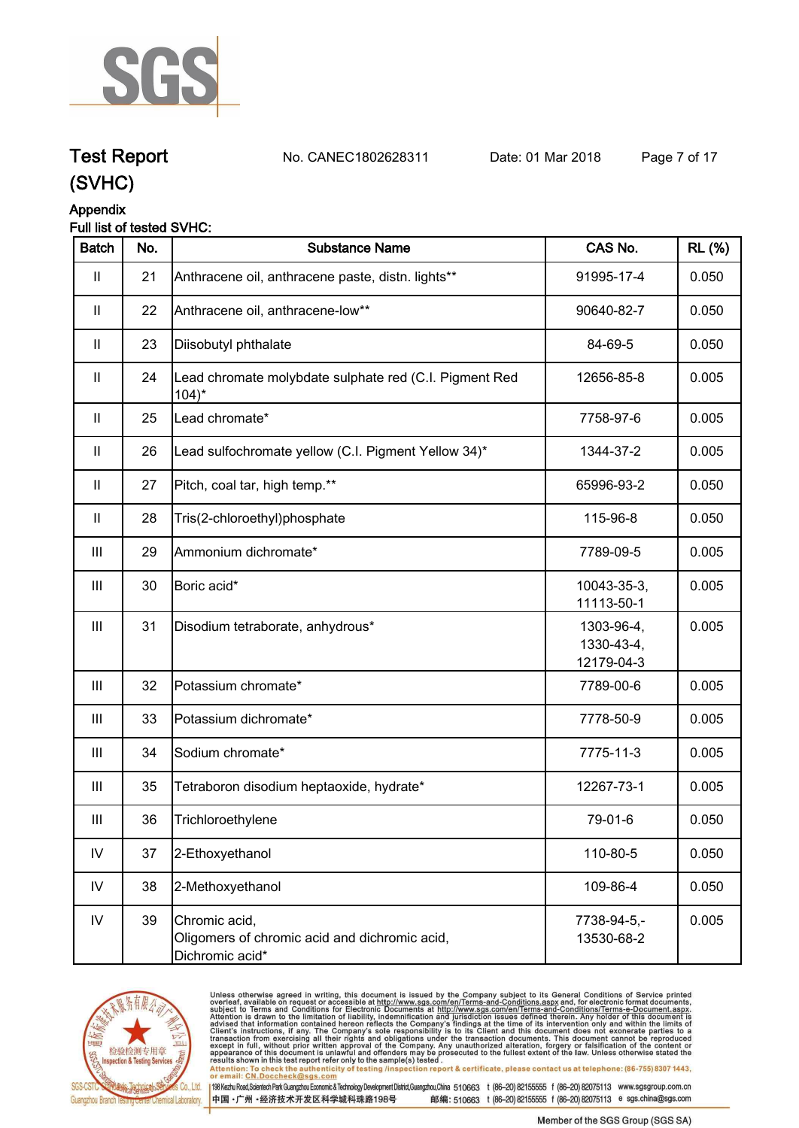

**Test Report. No. CANEC1802628311 Date: 01 Mar 2018. Page 7 of 17.**

## **(SVHC)**

#### **Appendix**

#### **Full list of tested SVHC:**

| <b>Batch</b>  | No. | <b>Substance Name</b>                                                             | CAS No.                                | <b>RL (%)</b> |
|---------------|-----|-----------------------------------------------------------------------------------|----------------------------------------|---------------|
| $\mathbf{  }$ | 21  | Anthracene oil, anthracene paste, distn. lights**                                 | 91995-17-4                             | 0.050         |
| $\mathbf{II}$ | 22  | Anthracene oil, anthracene-low**                                                  | 90640-82-7                             | 0.050         |
| $\mathbf{II}$ | 23  | Diisobutyl phthalate                                                              | 84-69-5                                | 0.050         |
| $\mathbf{  }$ | 24  | Lead chromate molybdate sulphate red (C.I. Pigment Red<br>$104$ <sup>*</sup>      | 12656-85-8                             | 0.005         |
| $\mathbf{I}$  | 25  | Lead chromate*                                                                    | 7758-97-6                              | 0.005         |
| $\mathbf{I}$  | 26  | Lead sulfochromate yellow (C.I. Pigment Yellow 34)*                               | 1344-37-2                              | 0.005         |
| $\mathbf{II}$ | 27  | Pitch, coal tar, high temp.**                                                     | 65996-93-2                             | 0.050         |
| $\mathbf{II}$ | 28  | Tris(2-chloroethyl)phosphate                                                      | 115-96-8                               | 0.050         |
| Ш             | 29  | Ammonium dichromate*                                                              | 7789-09-5                              | 0.005         |
| Ш             | 30  | Boric acid*                                                                       | 10043-35-3,<br>11113-50-1              | 0.005         |
| Ш             | 31  | Disodium tetraborate, anhydrous*                                                  | 1303-96-4,<br>1330-43-4,<br>12179-04-3 | 0.005         |
| Ш             | 32  | Potassium chromate*                                                               | 7789-00-6                              | 0.005         |
| Ш             | 33  | Potassium dichromate*                                                             | 7778-50-9                              | 0.005         |
| Ш             | 34  | Sodium chromate*                                                                  | 7775-11-3                              | 0.005         |
| Ш             | 35  | Tetraboron disodium heptaoxide, hydrate*                                          | 12267-73-1                             | 0.005         |
| Ш             | 36  | Trichloroethylene                                                                 | 79-01-6                                | 0.050         |
| IV            | 37  | 2-Ethoxyethanol                                                                   | 110-80-5                               | 0.050         |
| IV            | 38  | 2-Methoxyethanol                                                                  | 109-86-4                               | 0.050         |
| $\mathsf{IV}$ | 39  | Chromic acid,<br>Oligomers of chromic acid and dichromic acid,<br>Dichromic acid* | 7738-94-5,-<br>13530-68-2              | 0.005         |



Unless otherwise agreed in writing, this document is issued by the Company subject to its General Conditions of Service printed<br>overleaf, available on request or accessible at http://www.sgs.com/en/Terms-and-Conditions.asp results shown in this test report refer only to the sample(s) tested .<br>Attention: To check the authenticity of testing /inspection report & certificate, please contact us at telephone: (86-755) 8307 1443,<br>or email: <u>CN.Doc</u>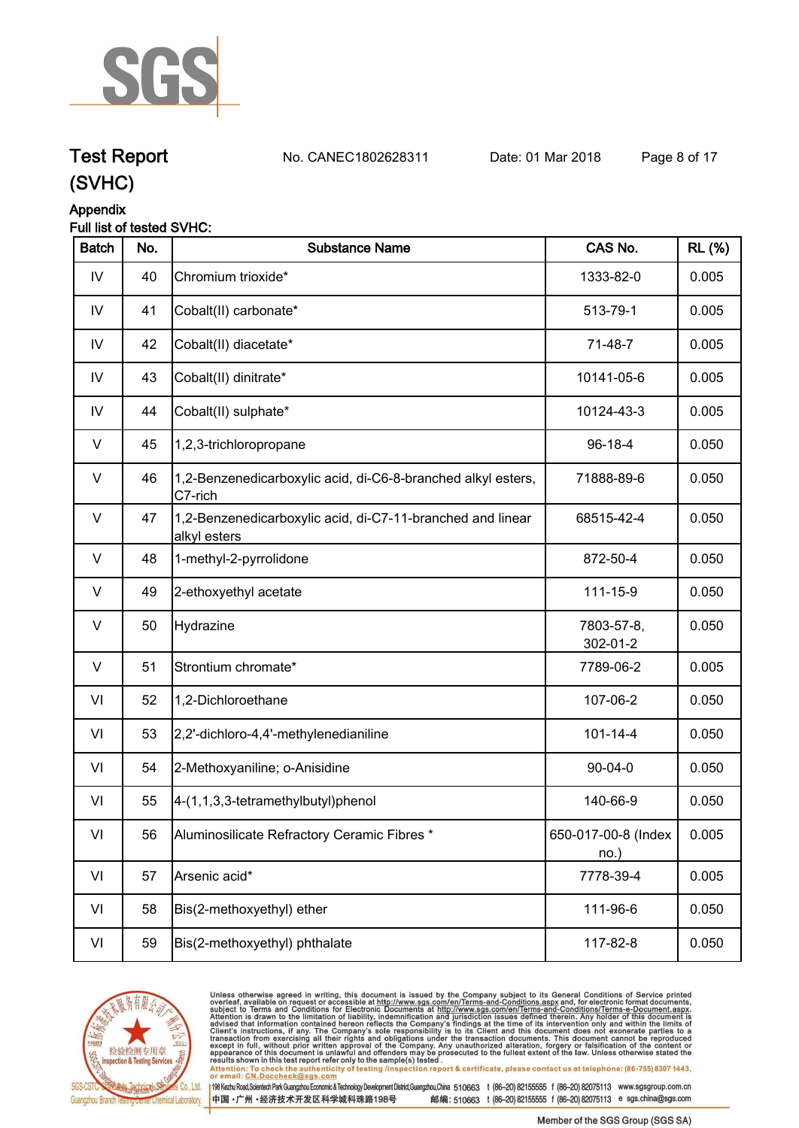

**Test Report. No. CANEC1802628311 Date: 01 Mar 2018. Page 8 of 17.**

### **(SVHC)**

### **Appendix**

|--|

| 1333-82-0<br>513-79-1<br>71-48-7 | 0.005<br>0.005 |
|----------------------------------|----------------|
|                                  |                |
|                                  |                |
|                                  | 0.005          |
| 10141-05-6                       | 0.005          |
| 10124-43-3                       | 0.005          |
| $96-18-4$                        | 0.050          |
| 71888-89-6                       | 0.050          |
| 68515-42-4                       | 0.050          |
| 872-50-4                         | 0.050          |
| 111-15-9                         | 0.050          |
| 7803-57-8,<br>302-01-2           | 0.050          |
| 7789-06-2                        | 0.005          |
| 107-06-2                         | 0.050          |
| $101 - 14 - 4$                   | 0.050          |
| $90 - 04 - 0$                    | 0.050          |
| 140-66-9                         | 0.050          |
| 650-017-00-8 (Index<br>no.)      | 0.005          |
| 7778-39-4                        | 0.005          |
| 111-96-6                         | 0.050          |
| 117-82-8                         | 0.050          |
|                                  |                |



Unless otherwise agreed in writing, this document is issued by the Company subject to its General Conditions of Service printed<br>overleaf, available on request or accessible at http://www.sgs.com/en/Terms-and-Conditions.asp results shown in this test report refer only to the sample(s) tested .<br>Attention: To check the authenticity of testing /inspection report & certificate, please contact us at telephone: (86-755) 8307 1443,<br>or email: <u>CN.Doc</u>

198 Kezhu Road,Scientech Park Guangzhou Economic & Technology Development District,Guangzhou,China 510663 t (86-20) 82155555 f (86-20) 82075113 www.sgsgroup.com.cn 中国·广州·经济技术开发区科学城科珠路198号 邮编: 510663 t (86-20) 82155555 f (86-20) 82075113 e sgs.china@sgs.com

Member of the SGS Group (SGS SA)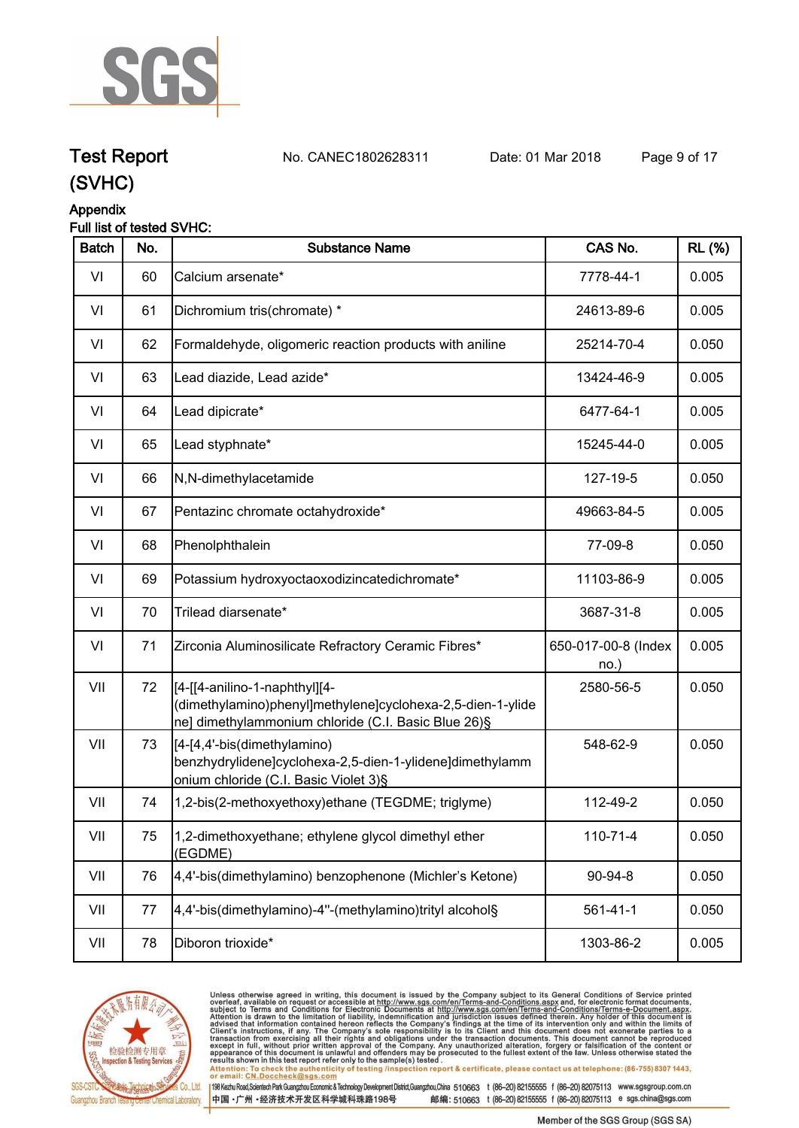

**Test Report. No. CANEC1802628311 Date: 01 Mar 2018. Page 9 of 17.**

## **(SVHC)**

#### **Appendix**

#### **Full list of tested SVHC:**

| <b>Batch</b> | No. | <b>Substance Name</b>                                                                                                                               | CAS No.                    | <b>RL (%)</b> |
|--------------|-----|-----------------------------------------------------------------------------------------------------------------------------------------------------|----------------------------|---------------|
| VI           | 60  | Calcium arsenate*                                                                                                                                   | 7778-44-1                  | 0.005         |
| VI           | 61  | Dichromium tris(chromate) *                                                                                                                         | 24613-89-6                 | 0.005         |
| VI           | 62  | Formaldehyde, oligomeric reaction products with aniline                                                                                             | 25214-70-4                 | 0.050         |
| VI           | 63  | Lead diazide, Lead azide*                                                                                                                           | 13424-46-9                 | 0.005         |
| VI           | 64  | Lead dipicrate*                                                                                                                                     | 6477-64-1                  | 0.005         |
| VI           | 65  | Lead styphnate*                                                                                                                                     | 15245-44-0                 | 0.005         |
| VI           | 66  | N,N-dimethylacetamide                                                                                                                               | 127-19-5                   | 0.050         |
| VI           | 67  | Pentazinc chromate octahydroxide*                                                                                                                   | 49663-84-5                 | 0.005         |
| VI           | 68  | Phenolphthalein                                                                                                                                     | 77-09-8                    | 0.050         |
| VI           | 69  | Potassium hydroxyoctaoxodizincatedichromate*                                                                                                        | 11103-86-9                 | 0.005         |
| VI           | 70  | Trilead diarsenate*                                                                                                                                 | 3687-31-8                  | 0.005         |
| VI           | 71  | Zirconia Aluminosilicate Refractory Ceramic Fibres*                                                                                                 | 650-017-00-8 (Index<br>no. | 0.005         |
| VII          | 72  | [[4-[[4-anilino-1-naphthyl][4-<br>(dimethylamino)phenyl]methylene]cyclohexa-2,5-dien-1-ylide<br>ne] dimethylammonium chloride (C.I. Basic Blue 26)§ | 2580-56-5                  | 0.050         |
| VII          | 73  | [[4-[4,4'-bis(dimethylamino)<br>benzhydrylidene]cyclohexa-2,5-dien-1-ylidene]dimethylamm<br>onium chloride (C.I. Basic Violet 3)§                   | 548-62-9                   | 0.050         |
| VII          | 74  | 1,2-bis(2-methoxyethoxy)ethane (TEGDME; triglyme)                                                                                                   | 112-49-2                   | 0.050         |
| VII          | 75  | 1,2-dimethoxyethane; ethylene glycol dimethyl ether<br>(EGDME)                                                                                      | 110-71-4                   | 0.050         |
| VII          | 76  | 4,4'-bis(dimethylamino) benzophenone (Michler's Ketone)                                                                                             | 90-94-8                    | 0.050         |
| VII          | 77  | 4,4'-bis(dimethylamino)-4"-(methylamino)trityl alcohol§                                                                                             | $561 - 41 - 1$             | 0.050         |
| VII          | 78  | Diboron trioxide*                                                                                                                                   | 1303-86-2                  | 0.005         |
|              |     |                                                                                                                                                     |                            |               |



Unless otherwise agreed in writing, this document is issued by the Company subject to its General Conditions of Service printed<br>overleaf, available on request or accessible at http://www.sgs.com/en/Terms-and-Conditions.as

198 Kezhu Road,Scientech Park Guangzhou Economic & Technology Development District,Guangzhou,China 510663 t (86-20) 82155555 f (86-20) 82075113 www.sgsgroup.com.cn 中国·广州·经济技术开发区科学城科珠路198号 邮编: 510663 t (86-20) 82155555 f (86-20) 82075113 e sgs.china@sgs.com

Member of the SGS Group (SGS SA)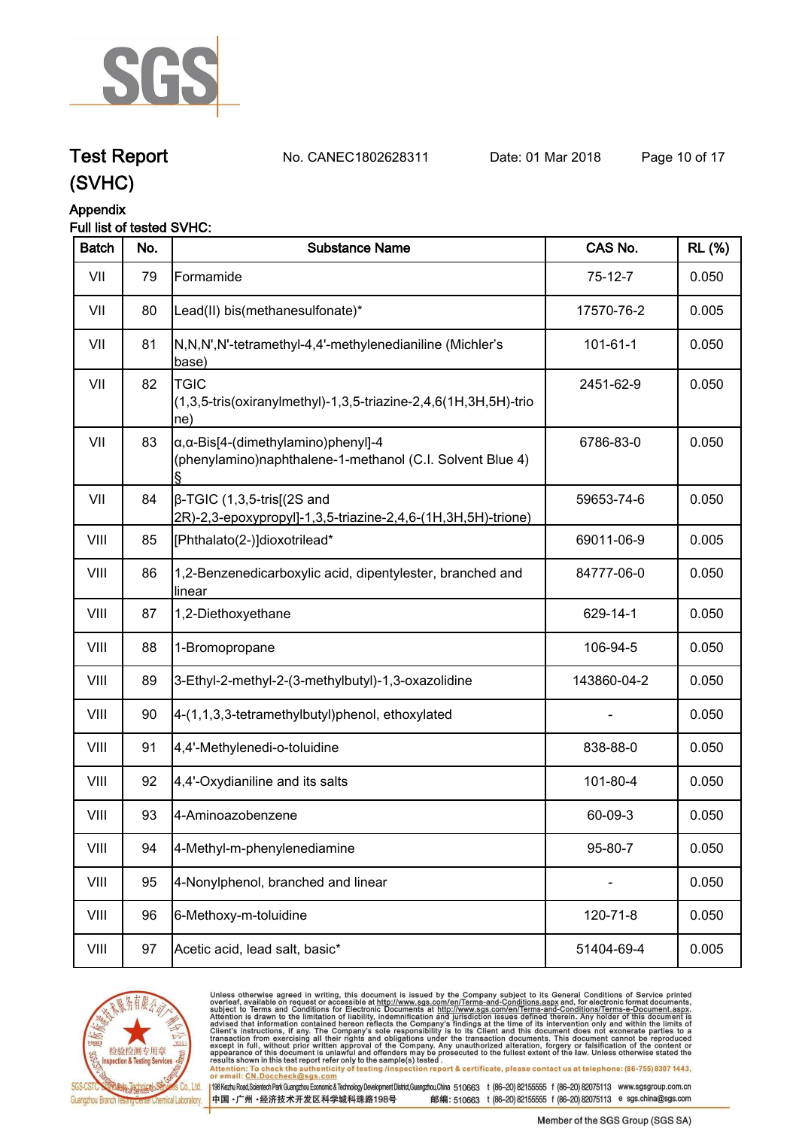

**Test Report. No. CANEC1802628311 Date: 01 Mar 2018. Page 10 of 17.**

## **(SVHC)**

### **Appendix**

#### **Full list of tested SVHC:**

| <b>Batch</b> | No. | <b>Substance Name</b>                                                                                            | CAS No.        | <b>RL (%)</b> |
|--------------|-----|------------------------------------------------------------------------------------------------------------------|----------------|---------------|
| VII          | 79  | Formamide                                                                                                        | $75-12-7$      | 0.050         |
| VII          | 80  | Lead(II) bis(methanesulfonate)*                                                                                  | 17570-76-2     | 0.005         |
| VII          | 81  | N,N,N',N'-tetramethyl-4,4'-methylenedianiline (Michler's<br>base)                                                | $101 - 61 - 1$ | 0.050         |
| VII          | 82  | <b>TGIC</b><br>(1,3,5-tris(oxiranylmethyl)-1,3,5-triazine-2,4,6(1H,3H,5H)-trio<br>ne)                            | 2451-62-9      | 0.050         |
| VII          | 83  | $\alpha$ , $\alpha$ -Bis[4-(dimethylamino)phenyl]-4<br>(phenylamino)naphthalene-1-methanol (C.I. Solvent Blue 4) | 6786-83-0      | 0.050         |
| VII          | 84  | $\beta$ -TGIC (1,3,5-tris[(2S and<br>2R)-2,3-epoxypropyl]-1,3,5-triazine-2,4,6-(1H,3H,5H)-trione)                | 59653-74-6     | 0.050         |
| VIII         | 85  | [Phthalato(2-)]dioxotrilead*                                                                                     | 69011-06-9     | 0.005         |
| VIII         | 86  | 1,2-Benzenedicarboxylic acid, dipentylester, branched and<br>linear                                              | 84777-06-0     | 0.050         |
| VIII         | 87  | 1,2-Diethoxyethane                                                                                               | 629-14-1       | 0.050         |
| VIII         | 88  | 1-Bromopropane                                                                                                   | 106-94-5       | 0.050         |
| VIII         | 89  | 3-Ethyl-2-methyl-2-(3-methylbutyl)-1,3-oxazolidine                                                               | 143860-04-2    | 0.050         |
| VIII         | 90  | 4-(1,1,3,3-tetramethylbutyl)phenol, ethoxylated                                                                  |                | 0.050         |
| VIII         | 91  | 4,4'-Methylenedi-o-toluidine                                                                                     | 838-88-0       | 0.050         |
| VIII         | 92  | 4,4'-Oxydianiline and its salts                                                                                  | 101-80-4       | 0.050         |
| VIII         | 93  | 4-Aminoazobenzene                                                                                                | 60-09-3        | 0.050         |
| VIII         | 94  | 4-Methyl-m-phenylenediamine                                                                                      | 95-80-7        | 0.050         |
| VIII         | 95  | 4-Nonylphenol, branched and linear                                                                               |                | 0.050         |
| VIII         | 96  | 6-Methoxy-m-toluidine                                                                                            | 120-71-8       | 0.050         |
| VIII         | 97  | Acetic acid, lead salt, basic*                                                                                   | 51404-69-4     | 0.005         |



Unless otherwise agreed in writing, this document is issued by the Company subject to its General Conditions of Service printed<br>overleaf, available on request or accessible at http://www.sgs.com/en/Terms-and-Conditions.asp results shown in this test report refer only to the sample(s) tested .<br>Attention: To check the authenticity of testing /inspection report & certificate, please contact us at telephone: (86-755) 8307 1443,<br>or email: <u>CN.Doc</u>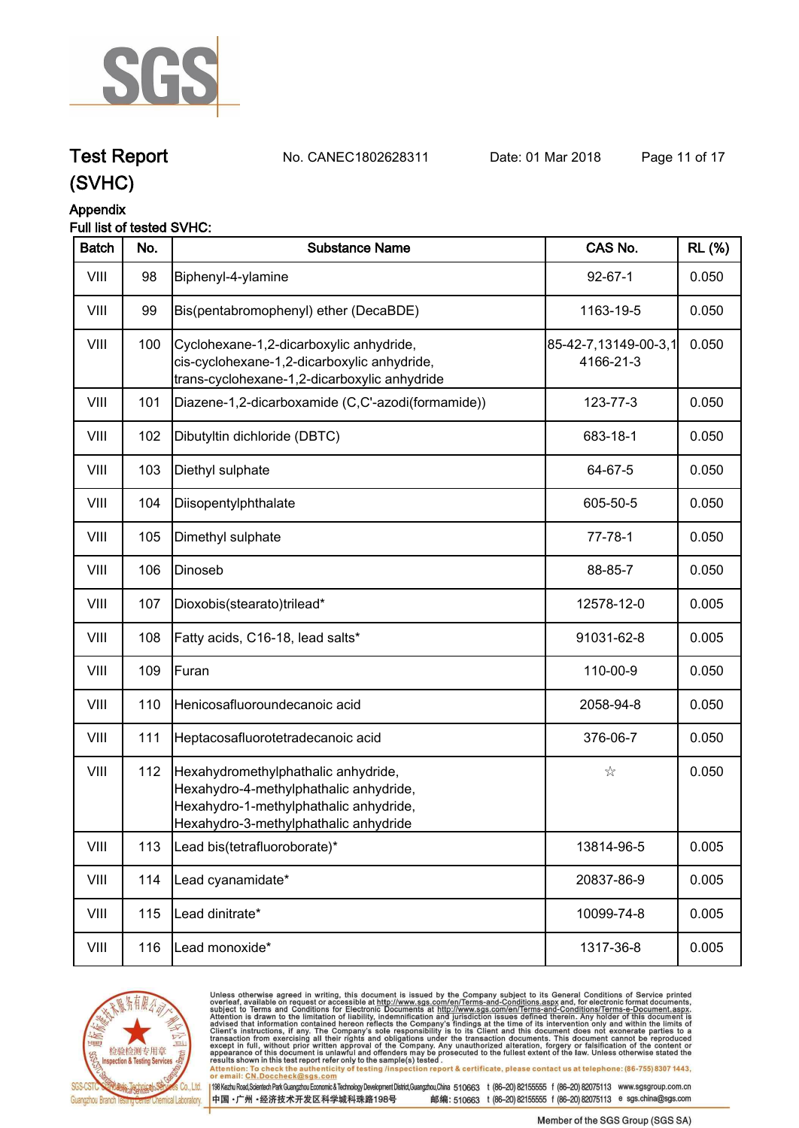

**Test Report. No. CANEC1802628311 Date: 01 Mar 2018. Page 11 of 17.**

## **(SVHC)**

#### **Appendix**

#### **Full list of tested SVHC:**

| <b>Batch</b> | No. | <b>Substance Name</b>                                                                                                                                            | CAS No.                           | <b>RL</b> (%) |
|--------------|-----|------------------------------------------------------------------------------------------------------------------------------------------------------------------|-----------------------------------|---------------|
| VIII         | 98  | Biphenyl-4-ylamine                                                                                                                                               | $92 - 67 - 1$                     | 0.050         |
| VIII         | 99  | Bis(pentabromophenyl) ether (DecaBDE)                                                                                                                            | 1163-19-5                         | 0.050         |
| VIII         | 100 | Cyclohexane-1,2-dicarboxylic anhydride,<br>cis-cyclohexane-1,2-dicarboxylic anhydride,<br>trans-cyclohexane-1,2-dicarboxylic anhydride                           | 85-42-7,13149-00-3,1<br>4166-21-3 | 0.050         |
| VIII         | 101 | Diazene-1,2-dicarboxamide (C,C'-azodi(formamide))                                                                                                                | 123-77-3                          | 0.050         |
| VIII         | 102 | Dibutyltin dichloride (DBTC)                                                                                                                                     | 683-18-1                          | 0.050         |
| VIII         | 103 | Diethyl sulphate                                                                                                                                                 | 64-67-5                           | 0.050         |
| VIII         | 104 | Diisopentylphthalate                                                                                                                                             | 605-50-5                          | 0.050         |
| VIII         | 105 | Dimethyl sulphate                                                                                                                                                | $77 - 78 - 1$                     | 0.050         |
| VIII         | 106 | Dinoseb                                                                                                                                                          | 88-85-7                           | 0.050         |
| VIII         | 107 | Dioxobis(stearato)trilead*                                                                                                                                       | 12578-12-0                        | 0.005         |
| VIII         | 108 | Fatty acids, C16-18, lead salts*                                                                                                                                 | 91031-62-8                        | 0.005         |
| VIII         | 109 | Furan                                                                                                                                                            | 110-00-9                          | 0.050         |
| VIII         | 110 | Henicosafluoroundecanoic acid                                                                                                                                    | 2058-94-8                         | 0.050         |
| VIII         | 111 | Heptacosafluorotetradecanoic acid                                                                                                                                | 376-06-7                          | 0.050         |
| VIII         | 112 | Hexahydromethylphathalic anhydride,<br>Hexahydro-4-methylphathalic anhydride,<br>Hexahydro-1-methylphathalic anhydride,<br>Hexahydro-3-methylphathalic anhydride | ☆                                 | 0.050         |
| VIII         | 113 | Lead bis(tetrafluoroborate)*                                                                                                                                     | 13814-96-5                        | 0.005         |
| VIII         | 114 | Lead cyanamidate*                                                                                                                                                | 20837-86-9                        | 0.005         |
| VIII         | 115 | Lead dinitrate*                                                                                                                                                  | 10099-74-8                        | 0.005         |
| VIII         | 116 | Lead monoxide*                                                                                                                                                   | 1317-36-8                         | 0.005         |



Unless otherwise agreed in writing, this document is issued by the Company subject to its General Conditions of Service printed<br>overleaf, available on request or accessible at http://www.sgs.com/en/Terms-and-Conditions.asp results shown in this test report refer only to the sample(s) tested .<br>Attention: To check the authenticity of testing /inspection report & certificate, please contact us at telephone: (86-755) 8307 1443,<br>or email: <u>CN.Doc</u>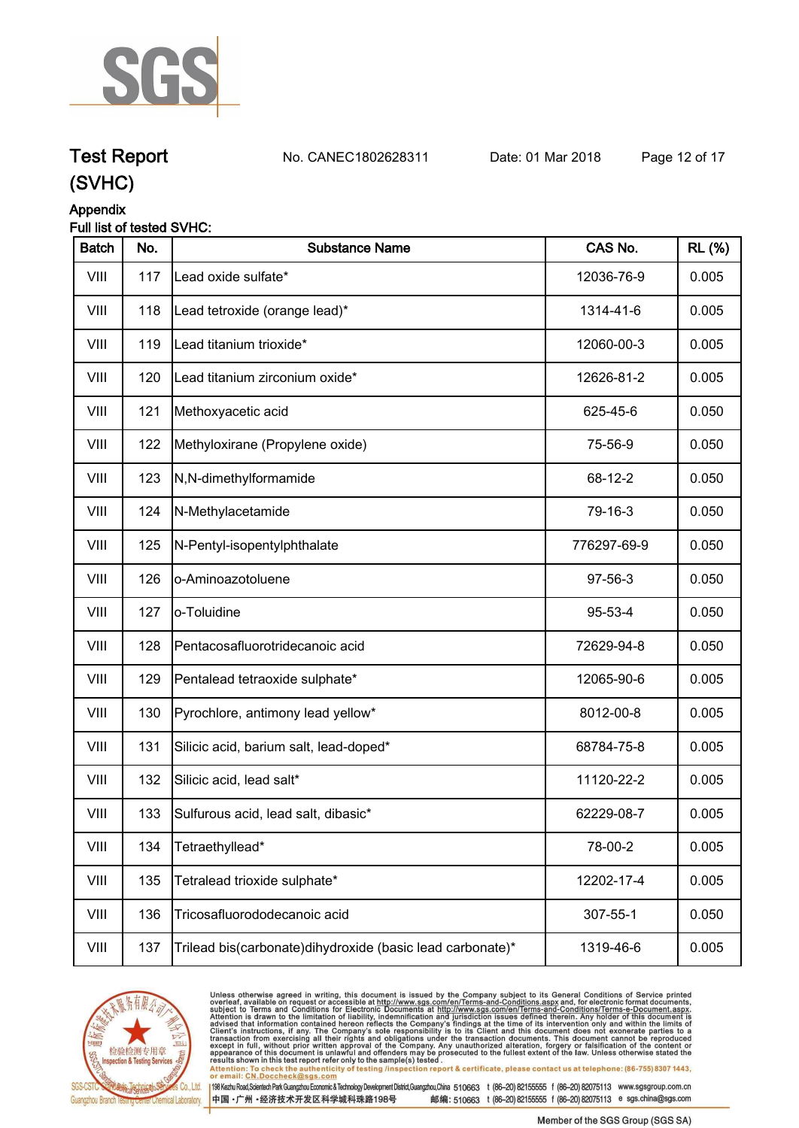

**Test Report. No. CANEC1802628311 Date: 01 Mar 2018. Page 12 of 17.**

### **(SVHC)**

### **Appendix**

#### **Full list of tested SVHC:**

| <b>Batch</b> | No. | <b>Substance Name</b>                                     | CAS No.     | <b>RL (%)</b> |
|--------------|-----|-----------------------------------------------------------|-------------|---------------|
| VIII         | 117 | Lead oxide sulfate*                                       | 12036-76-9  | 0.005         |
| VIII         | 118 | Lead tetroxide (orange lead)*                             | 1314-41-6   | 0.005         |
| VIII         | 119 | Lead titanium trioxide*                                   | 12060-00-3  | 0.005         |
| VIII         | 120 | Lead titanium zirconium oxide*                            | 12626-81-2  | 0.005         |
| VIII         | 121 | Methoxyacetic acid                                        | 625-45-6    | 0.050         |
| VIII         | 122 | Methyloxirane (Propylene oxide)                           | 75-56-9     | 0.050         |
| VIII         | 123 | N,N-dimethylformamide                                     | 68-12-2     | 0.050         |
| VIII         | 124 | N-Methylacetamide                                         | 79-16-3     | 0.050         |
| VIII         | 125 | N-Pentyl-isopentylphthalate                               | 776297-69-9 | 0.050         |
| VIII         | 126 | o-Aminoazotoluene                                         | 97-56-3     | 0.050         |
| VIII         | 127 | o-Toluidine                                               | 95-53-4     | 0.050         |
| VIII         | 128 | Pentacosafluorotridecanoic acid                           | 72629-94-8  | 0.050         |
| VIII         | 129 | Pentalead tetraoxide sulphate*                            | 12065-90-6  | 0.005         |
| VIII         | 130 | Pyrochlore, antimony lead yellow*                         | 8012-00-8   | 0.005         |
| VIII         | 131 | Silicic acid, barium salt, lead-doped*                    | 68784-75-8  | 0.005         |
| VIII         | 132 | Silicic acid, lead salt*                                  | 11120-22-2  | 0.005         |
| VIII         | 133 | Sulfurous acid, lead salt, dibasic*                       | 62229-08-7  | 0.005         |
| VIII         | 134 | Tetraethyllead*                                           | 78-00-2     | 0.005         |
| VIII         | 135 | Tetralead trioxide sulphate*                              | 12202-17-4  | 0.005         |
| VIII         | 136 | Tricosafluorododecanoic acid                              | 307-55-1    | 0.050         |
| VIII         | 137 | Trilead bis(carbonate)dihydroxide (basic lead carbonate)* | 1319-46-6   | 0.005         |



Unless otherwise agreed in writing, this document is issued by the Company subject to its General Conditions of Service printed<br>overleaf, available on request or accessible at http://www.sgs.com/en/Terms-and-Conditions.asp results shown in this test report refer only to the sample(s) tested .<br>Attention: To check the authenticity of testing /inspection report & certificate, please contact us at telephone: (86-755) 8307 1443,<br>or email: <u>CN.Doc</u>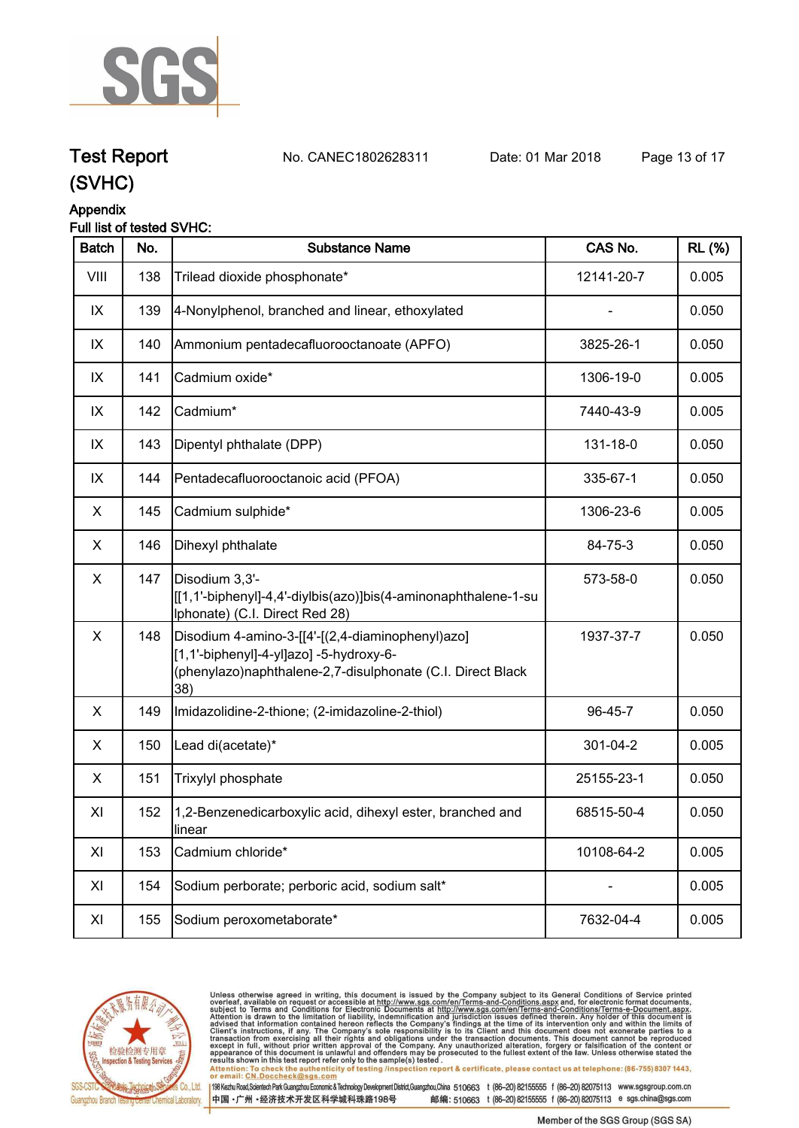

**Test Report. No. CANEC1802628311 Date: 01 Mar 2018. Page 13 of 17.**

### **(SVHC)**

### **Appendix**

#### **Full list of tested SVHC:**

| <b>Batch</b> | No. | <b>Substance Name</b>                                                                                                                                            | CAS No.    | <b>RL (%)</b> |
|--------------|-----|------------------------------------------------------------------------------------------------------------------------------------------------------------------|------------|---------------|
| VIII         | 138 | Trilead dioxide phosphonate*                                                                                                                                     | 12141-20-7 | 0.005         |
| IX           | 139 | 4-Nonylphenol, branched and linear, ethoxylated                                                                                                                  |            | 0.050         |
| IX           | 140 | Ammonium pentadecafluorooctanoate (APFO)                                                                                                                         | 3825-26-1  | 0.050         |
| IX           | 141 | Cadmium oxide*                                                                                                                                                   | 1306-19-0  | 0.005         |
| IX           | 142 | Cadmium*                                                                                                                                                         | 7440-43-9  | 0.005         |
| IX           | 143 | Dipentyl phthalate (DPP)                                                                                                                                         | 131-18-0   | 0.050         |
| IX           | 144 | Pentadecafluorooctanoic acid (PFOA)                                                                                                                              | 335-67-1   | 0.050         |
| X            | 145 | Cadmium sulphide*                                                                                                                                                | 1306-23-6  | 0.005         |
| X            | 146 | Dihexyl phthalate                                                                                                                                                | 84-75-3    | 0.050         |
| X            | 147 | Disodium 3,3'-<br>[[1,1'-biphenyl]-4,4'-diylbis(azo)]bis(4-aminonaphthalene-1-su<br>Iphonate) (C.I. Direct Red 28)                                               | 573-58-0   | 0.050         |
| X            | 148 | Disodium 4-amino-3-[[4'-[(2,4-diaminophenyl)azo]<br>[1,1'-biphenyl]-4-yl]azo] -5-hydroxy-6-<br>(phenylazo)naphthalene-2,7-disulphonate (C.I. Direct Black<br>38) | 1937-37-7  | 0.050         |
| X            | 149 | Imidazolidine-2-thione; (2-imidazoline-2-thiol)                                                                                                                  | 96-45-7    | 0.050         |
| X            | 150 | Lead di(acetate)*                                                                                                                                                | 301-04-2   | 0.005         |
| X            | 151 | Trixylyl phosphate                                                                                                                                               | 25155-23-1 | 0.050         |
| XI           | 152 | 1,2-Benzenedicarboxylic acid, dihexyl ester, branched and<br>llinear                                                                                             | 68515-50-4 | 0.050         |
| XI           | 153 | Cadmium chloride*                                                                                                                                                | 10108-64-2 | 0.005         |
| XI           | 154 | Sodium perborate; perboric acid, sodium salt*                                                                                                                    |            | 0.005         |
| XI           | 155 | Sodium peroxometaborate*                                                                                                                                         | 7632-04-4  | 0.005         |



Unless otherwise agreed in writing, this document is issued by the Company subject to its General Conditions of Service printed<br>overleaf, available on request or accessible at http://www.sgs.com/en/Terms-and-Conditions.asp results shown in this test report refer only to the sample(s) tested .<br>Attention: To check the authenticity of testing /inspection report & certificate, please contact us at telephone: (86-755) 8307 1443,<br>or email: <u>CN.Doc</u>

198 Kezhu Road,Scientech Park Guangzhou Economic & Technology Development District,Guangzhou,China 510663 t (86-20) 82155555 f (86-20) 82075113 www.sgsgroup.com.cn

中国·广州·经济技术开发区科学城科珠路198号 邮编: 510663 t (86-20) 82155555 f (86-20) 82075113 e sgs.china@sgs.com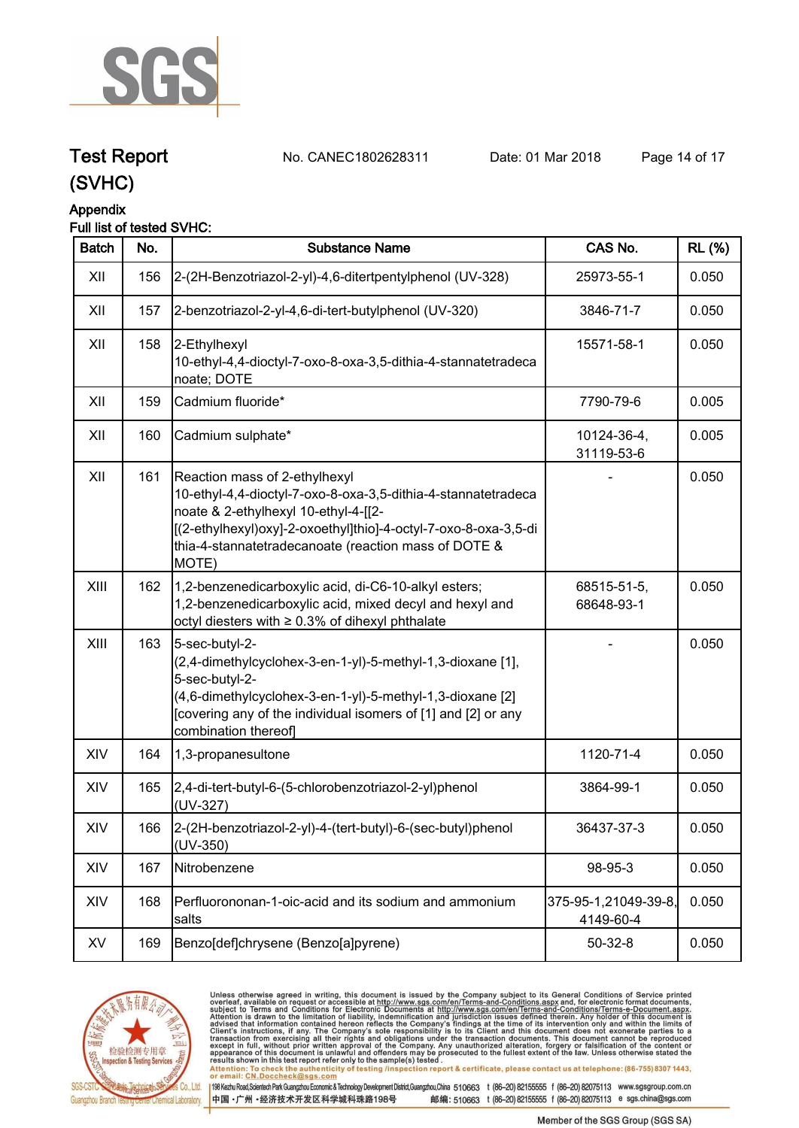

## **Test Report. No. CANEC1802628311 Date: 01 Mar 2018. Page 14 of 17.**

**(SVHC)**

#### **Appendix**

### **Full list of tested SVHC:**

| <b>Batch</b> | No. | <b>Substance Name</b>                                                                                                                                                                                                                                                      | CAS No.                           | <b>RL</b> (%) |
|--------------|-----|----------------------------------------------------------------------------------------------------------------------------------------------------------------------------------------------------------------------------------------------------------------------------|-----------------------------------|---------------|
| XII          | 156 | 2-(2H-Benzotriazol-2-yl)-4,6-ditertpentylphenol (UV-328)                                                                                                                                                                                                                   | 25973-55-1                        | 0.050         |
| XII          | 157 | 2-benzotriazol-2-yl-4,6-di-tert-butylphenol (UV-320)                                                                                                                                                                                                                       | 3846-71-7                         | 0.050         |
| XII          | 158 | 2-Ethylhexyl<br>10-ethyl-4,4-dioctyl-7-oxo-8-oxa-3,5-dithia-4-stannatetradeca<br>noate; DOTE                                                                                                                                                                               | 15571-58-1                        | 0.050         |
| XII          | 159 | Cadmium fluoride*                                                                                                                                                                                                                                                          | 7790-79-6                         | 0.005         |
| XII          | 160 | Cadmium sulphate*                                                                                                                                                                                                                                                          | 10124-36-4,<br>31119-53-6         | 0.005         |
| XII          | 161 | Reaction mass of 2-ethylhexyl<br>10-ethyl-4,4-dioctyl-7-oxo-8-oxa-3,5-dithia-4-stannatetradeca<br>noate & 2-ethylhexyl 10-ethyl-4-[[2-<br>[(2-ethylhexyl)oxy]-2-oxoethyl]thio]-4-octyl-7-oxo-8-oxa-3,5-di<br>thia-4-stannatetradecanoate (reaction mass of DOTE &<br>MOTE) |                                   | 0.050         |
| XIII         | 162 | 1,2-benzenedicarboxylic acid, di-C6-10-alkyl esters;<br>1,2-benzenedicarboxylic acid, mixed decyl and hexyl and<br>octyl diesters with ≥ 0.3% of dihexyl phthalate                                                                                                         | 68515-51-5,<br>68648-93-1         | 0.050         |
| XIII         | 163 | 5-sec-butyl-2-<br>(2,4-dimethylcyclohex-3-en-1-yl)-5-methyl-1,3-dioxane [1],<br>5-sec-butyl-2-<br>(4,6-dimethylcyclohex-3-en-1-yl)-5-methyl-1,3-dioxane [2]<br>[covering any of the individual isomers of [1] and [2] or any<br>combination thereof]                       |                                   | 0.050         |
| XIV          | 164 | 1,3-propanesultone                                                                                                                                                                                                                                                         | 1120-71-4                         | 0.050         |
| XIV          | 165 | 2,4-di-tert-butyl-6-(5-chlorobenzotriazol-2-yl)phenol<br>$(UV-327)$                                                                                                                                                                                                        | 3864-99-1                         | 0.050         |
| XIV          | 166 | 2-(2H-benzotriazol-2-yl)-4-(tert-butyl)-6-(sec-butyl)phenol<br>$(UV-350)$                                                                                                                                                                                                  | 36437-37-3                        | 0.050         |
| XIV          | 167 | Nitrobenzene                                                                                                                                                                                                                                                               | 98-95-3                           | 0.050         |
| XIV          | 168 | Perfluorononan-1-oic-acid and its sodium and ammonium<br>salts                                                                                                                                                                                                             | 375-95-1,21049-39-8,<br>4149-60-4 | 0.050         |
| XV           | 169 | Benzo[def]chrysene (Benzo[a]pyrene)                                                                                                                                                                                                                                        | $50 - 32 - 8$                     | 0.050         |



Unless otherwise agreed in writing, this document is issued by the Company subject to its General Conditions of Service printed<br>overleaf, available on request or accessible at http://www.sgs.com/en/Terms-and-Conditions.asp

results shown in this test report refer only to the sample(s) tested .<br>Attention: To check the authenticity of testing /inspection report & certificate, please contact us at telephone: (86-755) 8307 1443,<br>or email: <u>CN.Doc</u>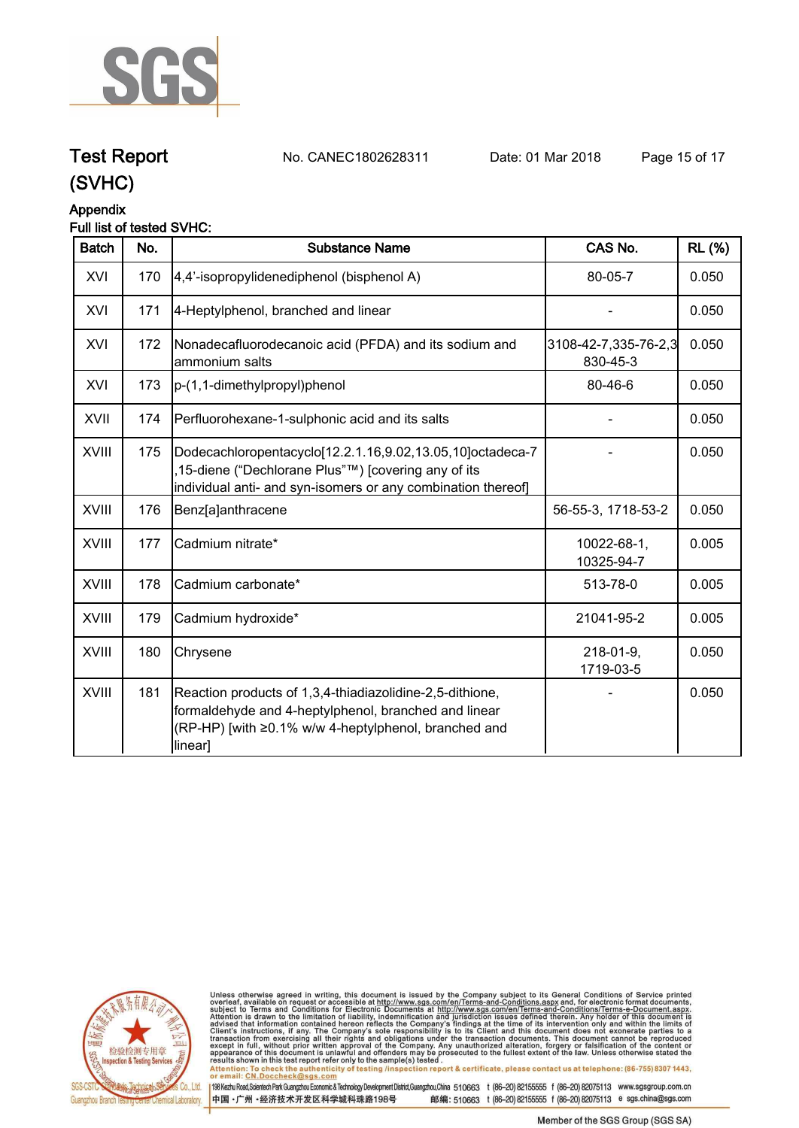

## **Test Report. No. CANEC1802628311 Date: 01 Mar 2018. Page 15 of 17.**

**(SVHC)**

#### **Appendix**

#### **Full list of tested SVHC:**

| <b>Batch</b> | No. | <b>Substance Name</b>                                                                                                                                                               | CAS No.                          | <b>RL</b> (%) |
|--------------|-----|-------------------------------------------------------------------------------------------------------------------------------------------------------------------------------------|----------------------------------|---------------|
| XVI          | 170 | 4,4'-isopropylidenediphenol (bisphenol A)                                                                                                                                           | 80-05-7                          | 0.050         |
| XVI          | 171 | 4-Heptylphenol, branched and linear                                                                                                                                                 |                                  | 0.050         |
| XVI          | 172 | Nonadecafluorodecanoic acid (PFDA) and its sodium and<br>ammonium salts                                                                                                             | 3108-42-7,335-76-2,3<br>830-45-3 | 0.050         |
| XVI          | 173 | p-(1,1-dimethylpropyl)phenol                                                                                                                                                        | 80-46-6                          | 0.050         |
| XVII         | 174 | Perfluorohexane-1-sulphonic acid and its salts                                                                                                                                      |                                  | 0.050         |
| XVIII        | 175 | Dodecachloropentacyclo[12.2.1.16,9.02,13.05,10]octadeca-7<br>,15-diene ("Dechlorane Plus"™) [covering any of its<br>individual anti- and syn-isomers or any combination thereof]    |                                  | 0.050         |
| <b>XVIII</b> | 176 | Benz[a]anthracene                                                                                                                                                                   | 56-55-3, 1718-53-2               | 0.050         |
| XVIII        | 177 | Cadmium nitrate*                                                                                                                                                                    | 10022-68-1,<br>10325-94-7        | 0.005         |
| XVIII        | 178 | Cadmium carbonate*                                                                                                                                                                  | 513-78-0                         | 0.005         |
| XVIII        | 179 | Cadmium hydroxide*                                                                                                                                                                  | 21041-95-2                       | 0.005         |
| XVIII        | 180 | Chrysene                                                                                                                                                                            | $218 - 01 - 9$ ,<br>1719-03-5    | 0.050         |
| XVIII        | 181 | Reaction products of 1,3,4-thiadiazolidine-2,5-dithione,<br>formaldehyde and 4-heptylphenol, branched and linear<br>(RP-HP) [with ≥0.1% w/w 4-heptylphenol, branched and<br>linear] |                                  | 0.050         |



Unless otherwise agreed in writing, this document is issued by the Company subject to its General Conditions of Service printed<br>overleaf, available on request or accessible at http://www.sgs.com/en/Terms-and-Conditions.as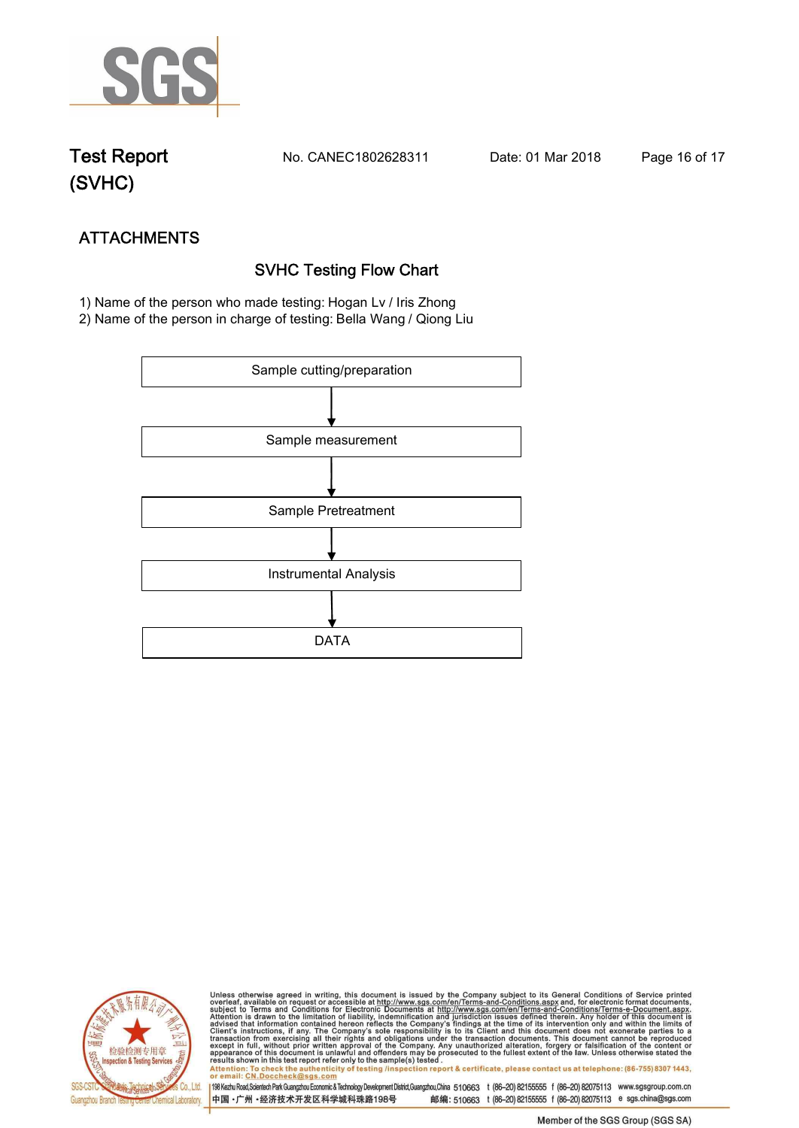

**Test Report. No. CANEC1802628311 Date: 01 Mar 2018. Page 16 of 17.**

# **(SVHC)**

# **ATTACHMENTS SVHC Testing Flow Chart**

 **1) Name of the person who made testing: Hogan Lv / Iris Zhong**

**2) Name of the person in charge of testing: Bella Wang / Qiong Liu**





Unless otherwise agreed in writing, this document is issued by the Company subject to its General Conditions of Service printed<br>overleaf, available on request or accessible at http://www.sgs.com/en/Terms-and-Conditions.asp Attention: To check the authenticity of testing /inspection report & certificate, please contact us at telephone: (86-755) 8307 1443,<br>Attention: To check the authenticity of testing /inspection report & certificate, please